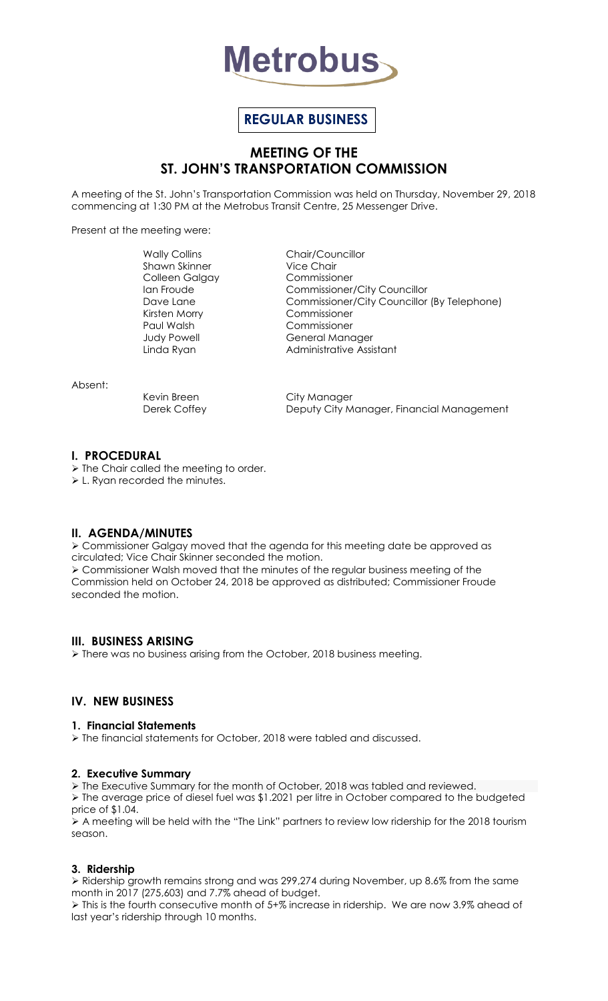

# **REGULAR BUSINESS**

## **MEETING OF THE ST. JOHN'S TRANSPORTATION COMMISSION**

A meeting of the St. John's Transportation Commission was held on Thursday, November 29, 2018 commencing at 1:30 PM at the Metrobus Transit Centre, 25 Messenger Drive.

Present at the meeting were:

Shawn Skinner Vice Chair Colleen Galgay Commissioner Kirsten Morry Commissioner Paul Walsh Commissioner

Wally Collins Chair/Councillor Ian Froude Commissioner/City Councillor Dave Lane Commissioner/City Councillor (By Telephone) General Manager Linda Ryan **Administrative Assistant** 

Absent:

Kevin Breen City Manager Derek Coffey **Deputy City Manager, Financial Management** 

## **I. PROCEDURAL**

> The Chair called the meeting to order.

L. Ryan recorded the minutes.

## **II. AGENDA/MINUTES**

 Commissioner Galgay moved that the agenda for this meeting date be approved as circulated; Vice Chair Skinner seconded the motion. Commissioner Walsh moved that the minutes of the regular business meeting of the Commission held on October 24, 2018 be approved as distributed; Commissioner Froude

## **III. BUSINESS ARISING**

seconded the motion.

> There was no business arising from the October, 2018 business meeting.

## **IV. NEW BUSINESS**

#### **1. Financial Statements**

 $\ge$  The financial statements for October, 2018 were tabled and discussed.

## **2. Executive Summary**

The Executive Summary for the month of October, 2018 was tabled and reviewed.

 The average price of diesel fuel was \$1.2021 per litre in October compared to the budgeted price of \$1.04.

 $\triangleright$  A meeting will be held with the "The Link" partners to review low ridership for the 2018 tourism season.

## **3. Ridership**

 Ridership growth remains strong and was 299,274 during November, up 8.6% from the same month in 2017 (275,603) and 7.7% ahead of budget.

 This is the fourth consecutive month of 5+% increase in ridership. We are now 3.9% ahead of last year's ridership through 10 months.